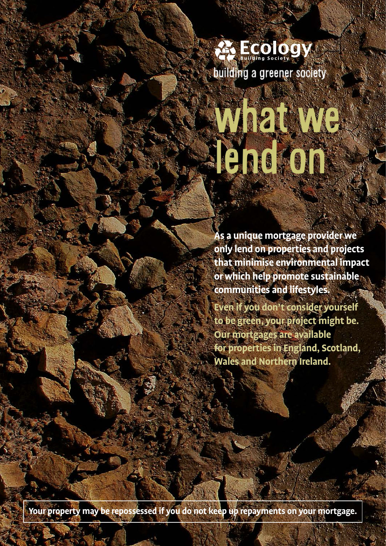

# We we le de la Cie

**As a unique mortgage provider we only lend on properties and projects that minimise environmental impact or which help promote sustainable communities and lifestyles.** 

**Even if you don't consider yourself to be green, your project might be. Our mortgages are available for properties in England, Scotland, Wales and Northern Ireland.**

**Your property may be repossessed if you do not keep up repayments on your mortgage.**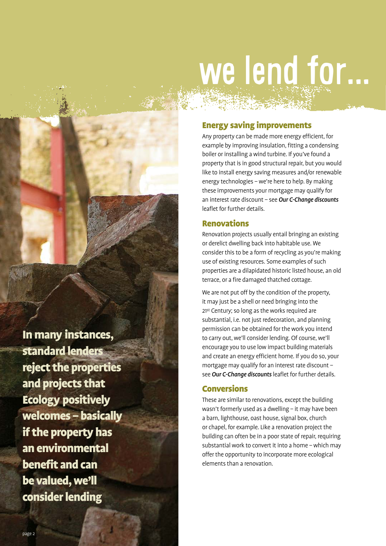## we lend for...

#### Energy saving improvements

Any property can be made more energy efficient, for example by improving insulation, fitting a condensing boiler or installing a wind turbine. If you've found a property that is in good structural repair, but you would like to install energy saving measures and/or renewable energy technologies – we're here to help. By making these improvements your mortgage may qualify for an interest rate discount – see *Our C-Change discounts* leaflet for further details.

#### Renovations

Renovation projects usually entail bringing an existing or derelict dwelling back into habitable use. We consider this to be a form of recycling as you're making use of existing resources. Some examples of such properties are a dilapidated historic listed house, an old terrace, or a fire damaged thatched cottage.

We are not put off by the condition of the property, it may just be a shell or need bringing into the 21st Century; so long as the works required are substantial, i.e. not just redecoration, and planning permission can be obtained for the work you intend to carry out, we'll consider lending. Of course, we'll encourage you to use low impact building materials and create an energy efficient home. If you do so, your mortgage may qualify for an interest rate discount – see *Our C-Change discounts* leaflet for further details.

#### Conversions

These are similar to renovations, except the building wasn't formerly used as a dwelling – it may have been a barn, lighthouse, oast house, signal box, church or chapel, for example. Like a renovation project the building can often be in a poor state of repair, requiring substantial work to convert it into a home – which may offer the opportunity to incorporate more ecological elements than a renovation.

In many instances, standard lenders reject the properties and projects that Ecology positively welcomes – basically if the property has an environmental benefit and can be valued, we'll consider lending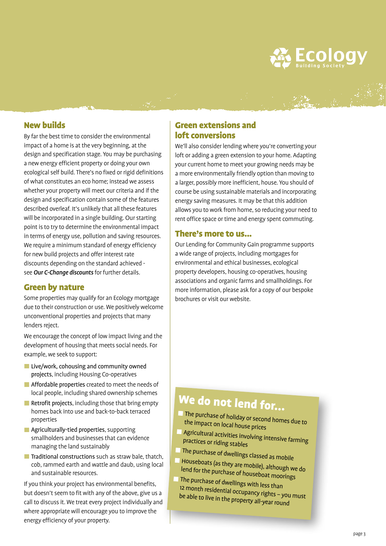

#### New builds

By far the best time to consider the environmental impact of a home is at the very beginning, at the design and specification stage. You may be purchasing a new energy efficient property or doing your own ecological self build. There's no fixed or rigid definitions of what constitutes an eco home; instead we assess whether your property will meet our criteria and if the design and specification contain some of the features described overleaf. It's unlikely that all these features will be incorporated in a single building. Our starting point is to try to determine the environmental impact in terms of energy use, pollution and saving resources. We require a minimum standard of energy efficiency for new build projects and offer interest rate discounts depending on the standard achieved see *Our C-Change discounts* for further details.

#### Green by nature

Some properties may qualify for an Ecology mortgage due to their construction or use. We positively welcome unconventional properties and projects that many lenders reject.

We encourage the concept of low impact living and the development of housing that meets social needs. For example, we seek to support:

- **Live/work, cohousing and community owned** projects, including Housing Co-operatives
- **Affordable properties** created to meet the needs of local people, including shared ownership schemes
- Retrofit projects, including those that bring empty homes back into use and back-to-back terraced properties
- **Agriculturally-tied properties**, supporting smallholders and businesses that can evidence managing the land sustainably
- $\blacksquare$  Traditional constructions such as straw bale, thatch, cob, rammed earth and wattle and daub, using local and sustainable resources.

If you think your project has environmental benefits, but doesn't seem to fit with any of the above, give us a call to discuss it. We treat every project individually and where appropriate will encourage you to improve the energy efficiency of your property.

#### Green extensions and loft conversions

We'll also consider lending where you're converting your loft or adding a green extension to your home. Adapting your current home to meet your growing needs may be a more environmentally friendly option than moving to a larger, possibly more inefficient, house. You should of course be using sustainable materials and incorporating energy saving measures. It may be that this addition allows you to work from home, so reducing your need to rent office space or time and energy spent commuting.

#### There's more to us...

Our Lending for Community Gain programme supports a wide range of projects, including mortgages for environmental and ethical businesses, ecological property developers, housing co-operatives, housing associations and organic farms and smallholdings. For more information, please ask for a copy of our bespoke brochures or visit our website.

### We do not lend for...

- The purchase of holiday or second homes due to the impact on local house prices
- Agricultural activities involving intensive farming<br>Practices or riding stables practices or riding stables
- The purchase of dwellings classed as mobile
- Houseboats (as they are mobile), although we do lend for the p urchase of houseboat moorings
- **The purchase of dwellings with less than** 12 month residential occupancy rights - you must be able to live in the property all-year round